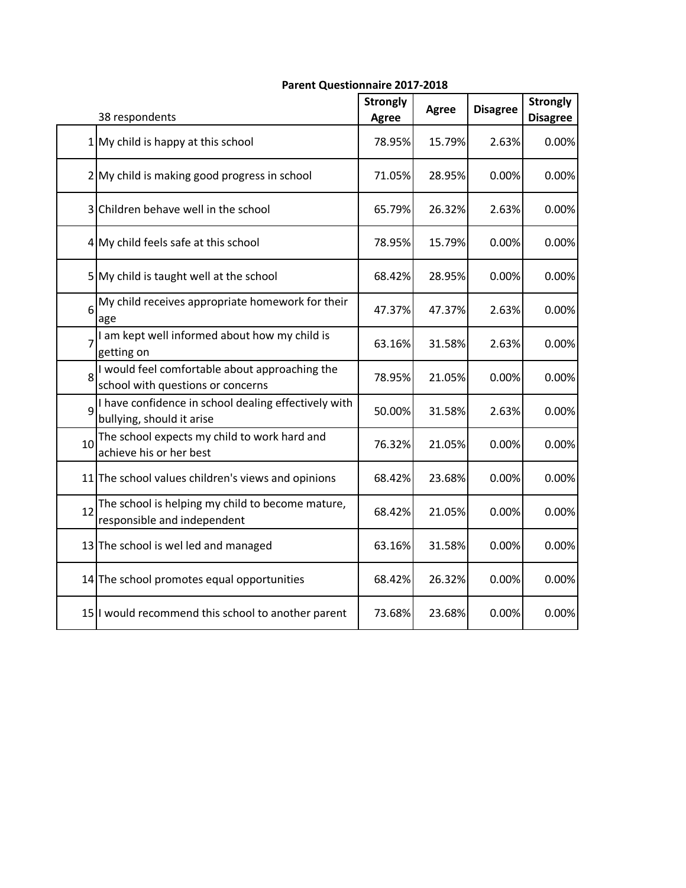|    | 38 respondents                                                                      | <b>Strongly</b><br><b>Agree</b> | <b>Agree</b> | <b>Disagree</b> | <b>Strongly</b><br><b>Disagree</b> |
|----|-------------------------------------------------------------------------------------|---------------------------------|--------------|-----------------|------------------------------------|
|    | $1$ My child is happy at this school                                                | 78.95%                          | 15.79%       | 2.63%           | 0.00%                              |
|    | 2 My child is making good progress in school                                        | 71.05%                          | 28.95%       | 0.00%           | 0.00%                              |
|    | 3 Children behave well in the school                                                | 65.79%                          | 26.32%       | 2.63%           | 0.00%                              |
|    | 4 My child feels safe at this school                                                | 78.95%                          | 15.79%       | 0.00%           | 0.00%                              |
|    | 5 My child is taught well at the school                                             | 68.42%                          | 28.95%       | 0.00%           | 0.00%                              |
| 6  | My child receives appropriate homework for their<br>age                             | 47.37%                          | 47.37%       | 2.63%           | 0.00%                              |
|    | I am kept well informed about how my child is<br>getting on                         | 63.16%                          | 31.58%       | 2.63%           | 0.00%                              |
| 8  | I would feel comfortable about approaching the<br>school with questions or concerns | 78.95%                          | 21.05%       | 0.00%           | 0.00%                              |
| 9  | I have confidence in school dealing effectively with<br>bullying, should it arise   | 50.00%                          | 31.58%       | 2.63%           | 0.00%                              |
| 10 | The school expects my child to work hard and<br>achieve his or her best             | 76.32%                          | 21.05%       | 0.00%           | 0.00%                              |
|    | 11 The school values children's views and opinions                                  | 68.42%                          | 23.68%       | 0.00%           | 0.00%                              |
| 12 | The school is helping my child to become mature,<br>responsible and independent     | 68.42%                          | 21.05%       | 0.00%           | 0.00%                              |
|    | 13 The school is welled and managed                                                 | 63.16%                          | 31.58%       | 0.00%           | 0.00%                              |
|    | 14 The school promotes equal opportunities                                          | 68.42%                          | 26.32%       | 0.00%           | 0.00%                              |
|    | 15 I would recommend this school to another parent                                  | 73.68%                          | 23.68%       | 0.00%           | 0.00%                              |

## **Parent Questionnaire 2017-2018**